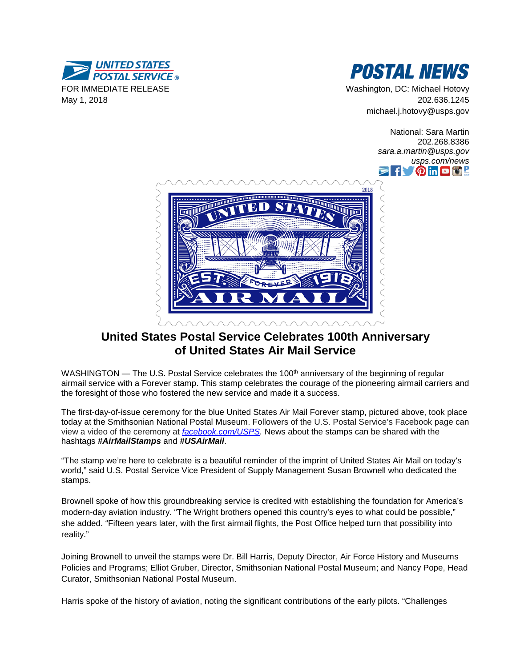



Washington, DC: Michael Hotovy 202.636.1245 michael.j.hotovy@usps.gov

> National: Sara Martin 202.268.8386 *sara.a.martin@usps.gov usps.com/news* **f** OmD**B** I



# **United States Postal Service Celebrates 100th Anniversary of United States Air Mail Service**

WASHINGTON — The U.S. Postal Service celebrates the 100<sup>th</sup> anniversary of the beginning of regular airmail service with a Forever stamp. This stamp celebrates the courage of the pioneering airmail carriers and the foresight of those who fostered the new service and made it a success.

The first-day-of-issue ceremony for the blue United States Air Mail Forever stamp, pictured above, took place today at the Smithsonian National Postal Museum. Followers of the U.S. Postal Service's Facebook page can view a video of the ceremony at *[facebook.com/USPS.](http://www.facebook.com/USPS)* News about the stamps can be shared with the hashtags *#AirMailStamps* and *#USAirMail*.

"The stamp we're here to celebrate is a beautiful reminder of the imprint of United States Air Mail on today's world," said U.S. Postal Service Vice President of Supply Management Susan Brownell who dedicated the stamps.

Brownell spoke of how this groundbreaking service is credited with establishing the foundation for America's modern-day aviation industry. "The Wright brothers opened this country's eyes to what could be possible," she added. "Fifteen years later, with the first airmail flights, the Post Office helped turn that possibility into reality."

Joining Brownell to unveil the stamps were Dr. Bill Harris, Deputy Director, Air Force History and Museums Policies and Programs; Elliot Gruber, Director, Smithsonian National Postal Museum; and Nancy Pope, Head Curator, Smithsonian National Postal Museum.

Harris spoke of the history of aviation, noting the significant contributions of the early pilots. "Challenges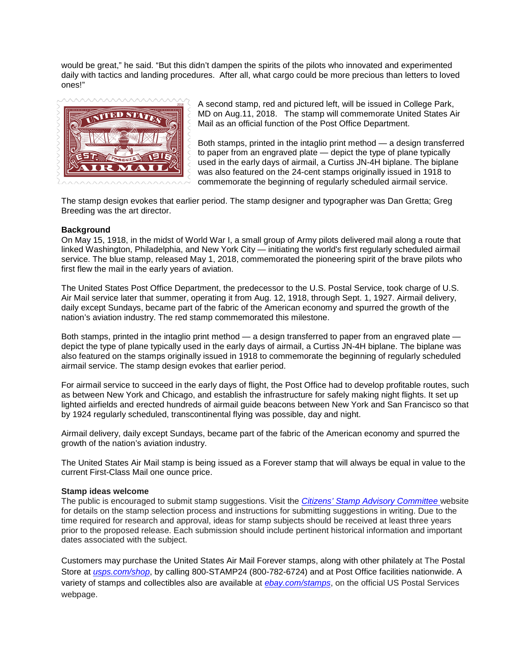would be great," he said. "But this didn't dampen the spirits of the pilots who innovated and experimented daily with tactics and landing procedures. After all, what cargo could be more precious than letters to loved ones!"



A second stamp, red and pictured left, will be issued in College Park, MD on Aug.11, 2018. The stamp will commemorate United States Air Mail as an official function of the Post Office Department.

Both stamps, printed in the intaglio print method — a design transferred to paper from an engraved plate — depict the type of plane typically used in the early days of airmail, a Curtiss JN-4H biplane. The biplane was also featured on the 24-cent stamps originally issued in 1918 to commemorate the beginning of regularly scheduled airmail service.

The stamp design evokes that earlier period. The stamp designer and typographer was Dan Gretta; Greg Breeding was the art director.

#### **Background**

On May 15, 1918, in the midst of World War I, a small group of Army pilots delivered mail along a route that linked Washington, Philadelphia, and New York City — initiating the world's first regularly scheduled airmail service. The blue stamp, released May 1, 2018, commemorated the pioneering spirit of the brave pilots who first flew the mail in the early years of aviation.

The United States Post Office Department, the predecessor to the U.S. Postal Service, took charge of U.S. Air Mail service later that summer, operating it from Aug. 12, 1918, through Sept. 1, 1927. Airmail delivery, daily except Sundays, became part of the fabric of the American economy and spurred the growth of the nation's aviation industry. The red stamp commemorated this milestone.

Both stamps, printed in the intaglio print method — a design transferred to paper from an engraved plate depict the type of plane typically used in the early days of airmail, a Curtiss JN-4H biplane. The biplane was also featured on the stamps originally issued in 1918 to commemorate the beginning of regularly scheduled airmail service. The stamp design evokes that earlier period.

For airmail service to succeed in the early days of flight, the Post Office had to develop profitable routes, such as between New York and Chicago, and establish the infrastructure for safely making night flights. It set up lighted airfields and erected hundreds of airmail guide beacons between New York and San Francisco so that by 1924 regularly scheduled, transcontinental flying was possible, day and night.

Airmail delivery, daily except Sundays, became part of the fabric of the American economy and spurred the growth of the nation's aviation industry.

The United States Air Mail stamp is being issued as a Forever stamp that will always be equal in value to the current First-Class Mail one ounce price.

#### **Stamp ideas welcome**

The public is encouraged to submit stamp suggestions. Visit the *[Citizens' Stamp Advisory Committee](https://about.usps.com/who-we-are/csac/welcome.htm)* website for details on the stamp selection process and instructions for submitting suggestions in writing. Due to the time required for research and approval, ideas for stamp subjects should be received at least three years prior to the proposed release. Each submission should include pertinent historical information and important dates associated with the subject.

Customers may purchase the United States Air Mail Forever stamps, along with other philately at The Postal Store at *[usps.com/shop](http://www.usps.com/shop)*, by calling 800-STAMP24 (800-782-6724) and at Post Office facilities nationwide. A variety of stamps and collectibles also are available at *[ebay.com/stamps](http://www.ebay.com/stamps)*, on the official US Postal Services webpage.